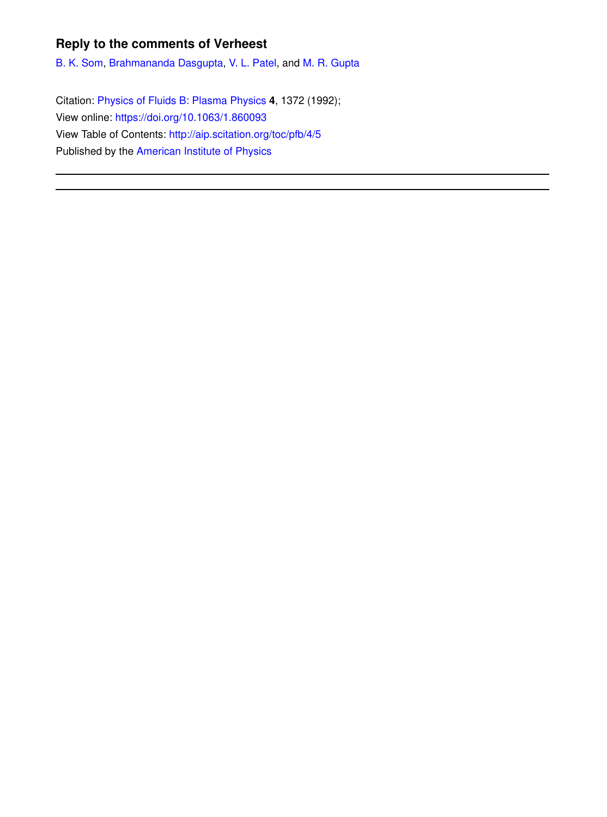## **Reply to the comments of Verheest**

B. K. Som, Brahmananda Dasgupta, V. L. Patel, and M. R. Gupta

Citation: Physics of Fluids B: Plasma Physics **4**, 1372 (1992); View online: https://doi.org/10.1063/1.860093 View Table of Contents: http://aip.scitation.org/toc/pfb/4/5 Published by the American Institute of Physics